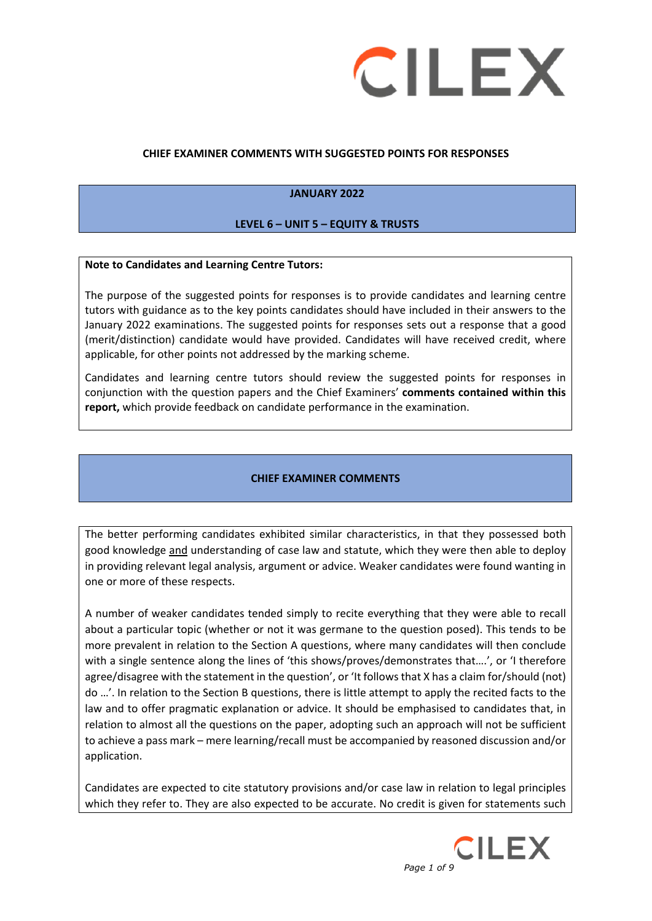

#### **CHIEF EXAMINER COMMENTS WITH SUGGESTED POINTS FOR RESPONSES**

#### **JANUARY 2022**

#### **LEVEL 6 – UNIT 5 – EQUITY & TRUSTS**

#### **Note to Candidates and Learning Centre Tutors:**

The purpose of the suggested points for responses is to provide candidates and learning centre tutors with guidance as to the key points candidates should have included in their answers to the January 2022 examinations. The suggested points for responses sets out a response that a good (merit/distinction) candidate would have provided. Candidates will have received credit, where applicable, for other points not addressed by the marking scheme.

Candidates and learning centre tutors should review the suggested points for responses in conjunction with the question papers and the Chief Examiners' **comments contained within this report,** which provide feedback on candidate performance in the examination.

#### **CHIEF EXAMINER COMMENTS**

The better performing candidates exhibited similar characteristics, in that they possessed both good knowledge and understanding of case law and statute, which they were then able to deploy in providing relevant legal analysis, argument or advice. Weaker candidates were found wanting in one or more of these respects.

A number of weaker candidates tended simply to recite everything that they were able to recall about a particular topic (whether or not it was germane to the question posed). This tends to be more prevalent in relation to the Section A questions, where many candidates will then conclude with a single sentence along the lines of 'this shows/proves/demonstrates that....', or 'I therefore agree/disagree with the statement in the question', or 'It follows that X has a claim for/should (not) do …'. In relation to the Section B questions, there is little attempt to apply the recited facts to the law and to offer pragmatic explanation or advice. It should be emphasised to candidates that, in relation to almost all the questions on the paper, adopting such an approach will not be sufficient to achieve a pass mark – mere learning/recall must be accompanied by reasoned discussion and/or application.

Candidates are expected to cite statutory provisions and/or case law in relation to legal principles which they refer to. They are also expected to be accurate. No credit is given for statements such

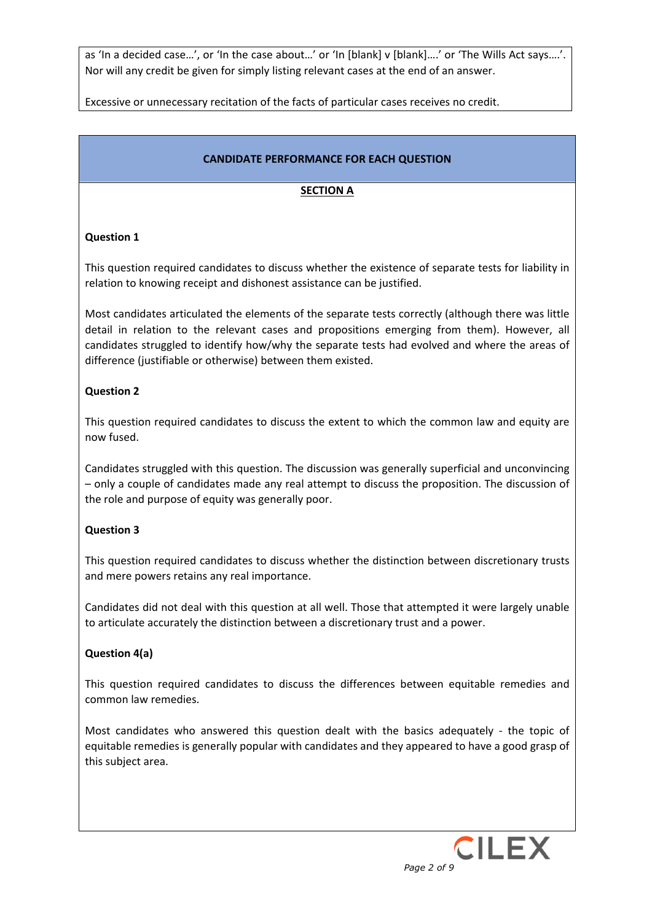as 'In a decided case…', or 'In the case about…' or 'In [blank] v [blank]….' or 'The Wills Act says….'. Nor will any credit be given for simply listing relevant cases at the end of an answer.

Excessive or unnecessary recitation of the facts of particular cases receives no credit.

### **CANDIDATE PERFORMANCE FOR EACH QUESTION**

### **SECTION A**

### **Question 1**

This question required candidates to discuss whether the existence of separate tests for liability in relation to knowing receipt and dishonest assistance can be justified.

Most candidates articulated the elements of the separate tests correctly (although there was little detail in relation to the relevant cases and propositions emerging from them). However, all candidates struggled to identify how/why the separate tests had evolved and where the areas of difference (justifiable or otherwise) between them existed.

### **Question 2**

This question required candidates to discuss the extent to which the common law and equity are now fused.

Candidates struggled with this question. The discussion was generally superficial and unconvincing – only a couple of candidates made any real attempt to discuss the proposition. The discussion of the role and purpose of equity was generally poor.

### **Question 3**

This question required candidates to discuss whether the distinction between discretionary trusts and mere powers retains any real importance.

Candidates did not deal with this question at all well. Those that attempted it were largely unable to articulate accurately the distinction between a discretionary trust and a power.

#### **Question 4(a)**

This question required candidates to discuss the differences between equitable remedies and common law remedies.

Most candidates who answered this question dealt with the basics adequately - the topic of equitable remedies is generally popular with candidates and they appeared to have a good grasp of this subject area.

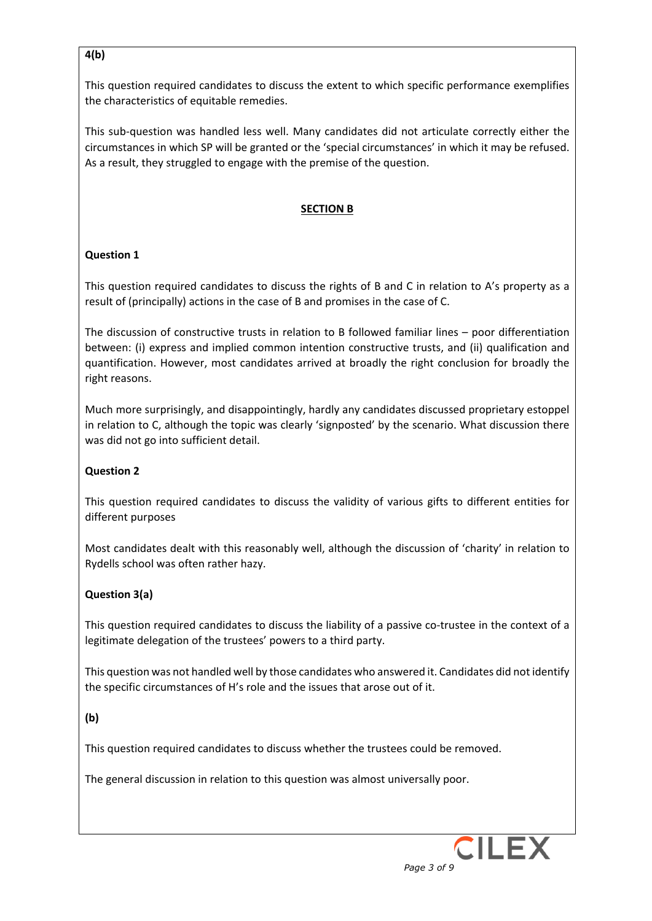## **4(b)**

This question required candidates to discuss the extent to which specific performance exemplifies the characteristics of equitable remedies.

This sub-question was handled less well. Many candidates did not articulate correctly either the circumstances in which SP will be granted or the 'special circumstances' in which it may be refused. As a result, they struggled to engage with the premise of the question.

# **SECTION B**

## **Question 1**

This question required candidates to discuss the rights of B and C in relation to A's property as a result of (principally) actions in the case of B and promises in the case of C.

The discussion of constructive trusts in relation to B followed familiar lines – poor differentiation between: (i) express and implied common intention constructive trusts, and (ii) qualification and quantification. However, most candidates arrived at broadly the right conclusion for broadly the right reasons.

Much more surprisingly, and disappointingly, hardly any candidates discussed proprietary estoppel in relation to C, although the topic was clearly 'signposted' by the scenario. What discussion there was did not go into sufficient detail.

### **Question 2**

This question required candidates to discuss the validity of various gifts to different entities for different purposes

Most candidates dealt with this reasonably well, although the discussion of 'charity' in relation to Rydells school was often rather hazy.

# **Question 3(a)**

This question required candidates to discuss the liability of a passive co-trustee in the context of a legitimate delegation of the trustees' powers to a third party.

This question was not handled well by those candidates who answered it. Candidates did not identify the specific circumstances of H's role and the issues that arose out of it.

### **(b)**

This question required candidates to discuss whether the trustees could be removed.

The general discussion in relation to this question was almost universally poor.

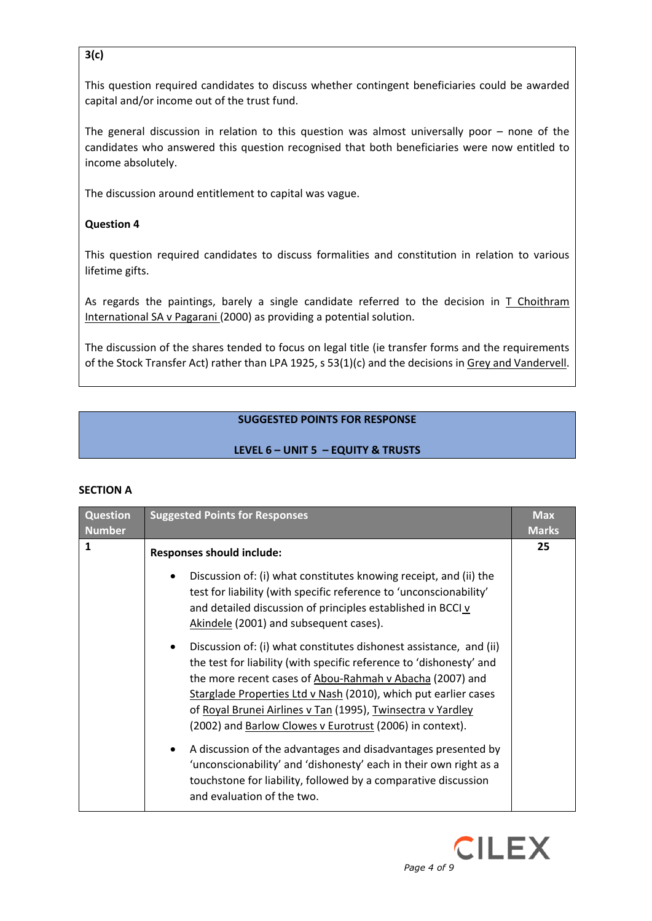# **3(c)**

This question required candidates to discuss whether contingent beneficiaries could be awarded capital and/or income out of the trust fund.

The general discussion in relation to this question was almost universally poor – none of the candidates who answered this question recognised that both beneficiaries were now entitled to income absolutely.

The discussion around entitlement to capital was vague.

# **Question 4**

This question required candidates to discuss formalities and constitution in relation to various lifetime gifts.

As regards the paintings, barely a single candidate referred to the decision in  $\overline{I}$  Choithram International SA v Pagarani (2000) as providing a potential solution.

The discussion of the shares tended to focus on legal title (ie transfer forms and the requirements of the Stock Transfer Act) rather than LPA 1925, s 53(1)(c) and the decisions in Grey and Vandervell.

# **SUGGESTED POINTS FOR RESPONSE**

# **LEVEL 6 – UNIT 5 – EQUITY & TRUSTS**

#### **SECTION A**

| <b>Question</b><br><b>Number</b> | <b>Suggested Points for Responses</b>                                                                                                                                                                                                                                                                                                                                                                            | <b>Max</b><br><b>Marks</b> |
|----------------------------------|------------------------------------------------------------------------------------------------------------------------------------------------------------------------------------------------------------------------------------------------------------------------------------------------------------------------------------------------------------------------------------------------------------------|----------------------------|
| 1                                | <b>Responses should include:</b>                                                                                                                                                                                                                                                                                                                                                                                 | 25                         |
|                                  | Discussion of: (i) what constitutes knowing receipt, and (ii) the<br>test for liability (with specific reference to 'unconscionability'<br>and detailed discussion of principles established in BCCI v<br>Akindele (2001) and subsequent cases).                                                                                                                                                                 |                            |
|                                  | Discussion of: (i) what constitutes dishonest assistance, and (ii)<br>$\bullet$<br>the test for liability (with specific reference to 'dishonesty' and<br>the more recent cases of Abou-Rahmah v Abacha (2007) and<br>Starglade Properties Ltd v Nash (2010), which put earlier cases<br>of Royal Brunei Airlines v Tan (1995), Twinsectra v Yardley<br>(2002) and Barlow Clowes v Eurotrust (2006) in context). |                            |
|                                  | A discussion of the advantages and disadvantages presented by<br>$\bullet$<br>'unconscionability' and 'dishonesty' each in their own right as a<br>touchstone for liability, followed by a comparative discussion<br>and evaluation of the two.                                                                                                                                                                  |                            |

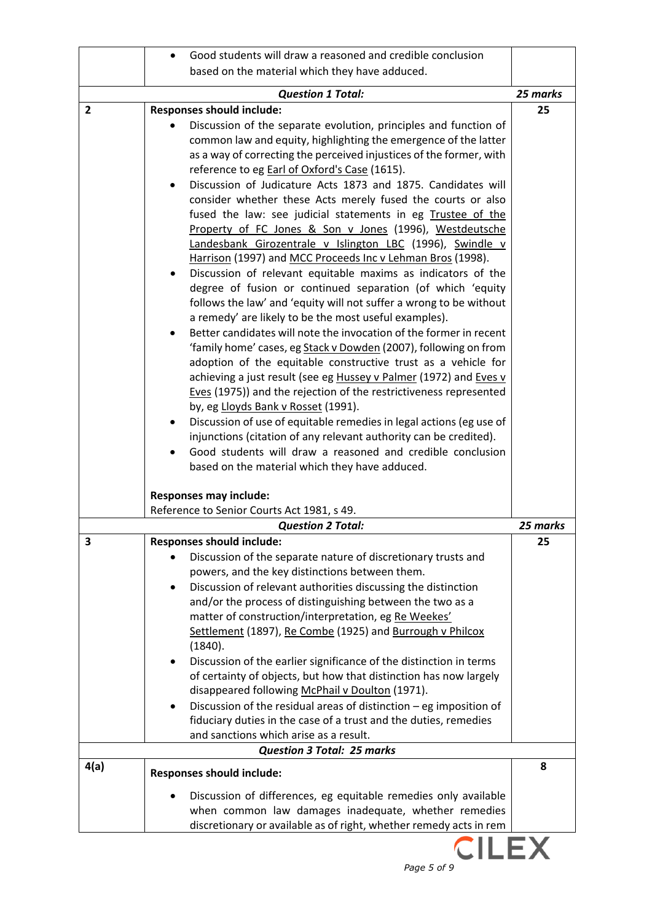|              | Good students will draw a reasoned and credible conclusion                                                                                                                                                                                                                                                                                                                                                                                                                                                                                                                                                                                                                                                                                                                                                                                                                                                                                                                                                                                                                                                                                                                                                                                                                                                                                                                                                                                                                                            |          |
|--------------|-------------------------------------------------------------------------------------------------------------------------------------------------------------------------------------------------------------------------------------------------------------------------------------------------------------------------------------------------------------------------------------------------------------------------------------------------------------------------------------------------------------------------------------------------------------------------------------------------------------------------------------------------------------------------------------------------------------------------------------------------------------------------------------------------------------------------------------------------------------------------------------------------------------------------------------------------------------------------------------------------------------------------------------------------------------------------------------------------------------------------------------------------------------------------------------------------------------------------------------------------------------------------------------------------------------------------------------------------------------------------------------------------------------------------------------------------------------------------------------------------------|----------|
|              | based on the material which they have adduced.                                                                                                                                                                                                                                                                                                                                                                                                                                                                                                                                                                                                                                                                                                                                                                                                                                                                                                                                                                                                                                                                                                                                                                                                                                                                                                                                                                                                                                                        |          |
|              | <b>Question 1 Total:</b>                                                                                                                                                                                                                                                                                                                                                                                                                                                                                                                                                                                                                                                                                                                                                                                                                                                                                                                                                                                                                                                                                                                                                                                                                                                                                                                                                                                                                                                                              | 25 marks |
|              |                                                                                                                                                                                                                                                                                                                                                                                                                                                                                                                                                                                                                                                                                                                                                                                                                                                                                                                                                                                                                                                                                                                                                                                                                                                                                                                                                                                                                                                                                                       |          |
| $\mathbf{2}$ | <b>Responses should include:</b><br>Discussion of the separate evolution, principles and function of<br>common law and equity, highlighting the emergence of the latter<br>as a way of correcting the perceived injustices of the former, with<br>reference to eg Earl of Oxford's Case (1615).<br>Discussion of Judicature Acts 1873 and 1875. Candidates will<br>consider whether these Acts merely fused the courts or also<br>fused the law: see judicial statements in eg Trustee of the<br>Property of FC Jones & Son v Jones (1996), Westdeutsche<br>Landesbank Girozentrale v Islington LBC (1996), Swindle v<br>Harrison (1997) and MCC Proceeds Inc v Lehman Bros (1998).<br>Discussion of relevant equitable maxims as indicators of the<br>degree of fusion or continued separation (of which 'equity<br>follows the law' and 'equity will not suffer a wrong to be without<br>a remedy' are likely to be the most useful examples).<br>Better candidates will note the invocation of the former in recent<br>$\bullet$<br>'family home' cases, eg Stack v Dowden (2007), following on from<br>adoption of the equitable constructive trust as a vehicle for<br>achieving a just result (see eg Hussey v Palmer (1972) and Eves v<br>Eves (1975)) and the rejection of the restrictiveness represented<br>by, eg Lloyds Bank v Rosset (1991).<br>Discussion of use of equitable remedies in legal actions (eg use of<br>injunctions (citation of any relevant authority can be credited). | 25       |
|              | Good students will draw a reasoned and credible conclusion                                                                                                                                                                                                                                                                                                                                                                                                                                                                                                                                                                                                                                                                                                                                                                                                                                                                                                                                                                                                                                                                                                                                                                                                                                                                                                                                                                                                                                            |          |
|              | based on the material which they have adduced.                                                                                                                                                                                                                                                                                                                                                                                                                                                                                                                                                                                                                                                                                                                                                                                                                                                                                                                                                                                                                                                                                                                                                                                                                                                                                                                                                                                                                                                        |          |
|              | <b>Responses may include:</b>                                                                                                                                                                                                                                                                                                                                                                                                                                                                                                                                                                                                                                                                                                                                                                                                                                                                                                                                                                                                                                                                                                                                                                                                                                                                                                                                                                                                                                                                         |          |
|              | Reference to Senior Courts Act 1981, s 49.                                                                                                                                                                                                                                                                                                                                                                                                                                                                                                                                                                                                                                                                                                                                                                                                                                                                                                                                                                                                                                                                                                                                                                                                                                                                                                                                                                                                                                                            |          |
|              | <b>Question 2 Total:</b>                                                                                                                                                                                                                                                                                                                                                                                                                                                                                                                                                                                                                                                                                                                                                                                                                                                                                                                                                                                                                                                                                                                                                                                                                                                                                                                                                                                                                                                                              | 25 marks |
| 3            | <b>Responses should include:</b><br>Discussion of the separate nature of discretionary trusts and                                                                                                                                                                                                                                                                                                                                                                                                                                                                                                                                                                                                                                                                                                                                                                                                                                                                                                                                                                                                                                                                                                                                                                                                                                                                                                                                                                                                     | 25       |
|              | powers, and the key distinctions between them.                                                                                                                                                                                                                                                                                                                                                                                                                                                                                                                                                                                                                                                                                                                                                                                                                                                                                                                                                                                                                                                                                                                                                                                                                                                                                                                                                                                                                                                        |          |
|              | Discussion of relevant authorities discussing the distinction<br>٠                                                                                                                                                                                                                                                                                                                                                                                                                                                                                                                                                                                                                                                                                                                                                                                                                                                                                                                                                                                                                                                                                                                                                                                                                                                                                                                                                                                                                                    |          |
|              | and/or the process of distinguishing between the two as a                                                                                                                                                                                                                                                                                                                                                                                                                                                                                                                                                                                                                                                                                                                                                                                                                                                                                                                                                                                                                                                                                                                                                                                                                                                                                                                                                                                                                                             |          |
|              | matter of construction/interpretation, eg Re Weekes'<br>Settlement (1897), Re Combe (1925) and Burrough v Philcox                                                                                                                                                                                                                                                                                                                                                                                                                                                                                                                                                                                                                                                                                                                                                                                                                                                                                                                                                                                                                                                                                                                                                                                                                                                                                                                                                                                     |          |
|              | (1840).                                                                                                                                                                                                                                                                                                                                                                                                                                                                                                                                                                                                                                                                                                                                                                                                                                                                                                                                                                                                                                                                                                                                                                                                                                                                                                                                                                                                                                                                                               |          |
|              | Discussion of the earlier significance of the distinction in terms<br>٠                                                                                                                                                                                                                                                                                                                                                                                                                                                                                                                                                                                                                                                                                                                                                                                                                                                                                                                                                                                                                                                                                                                                                                                                                                                                                                                                                                                                                               |          |
|              | of certainty of objects, but how that distinction has now largely                                                                                                                                                                                                                                                                                                                                                                                                                                                                                                                                                                                                                                                                                                                                                                                                                                                                                                                                                                                                                                                                                                                                                                                                                                                                                                                                                                                                                                     |          |
|              | disappeared following McPhail v Doulton (1971).<br>Discussion of the residual areas of distinction $-$ eg imposition of                                                                                                                                                                                                                                                                                                                                                                                                                                                                                                                                                                                                                                                                                                                                                                                                                                                                                                                                                                                                                                                                                                                                                                                                                                                                                                                                                                               |          |
|              | fiduciary duties in the case of a trust and the duties, remedies                                                                                                                                                                                                                                                                                                                                                                                                                                                                                                                                                                                                                                                                                                                                                                                                                                                                                                                                                                                                                                                                                                                                                                                                                                                                                                                                                                                                                                      |          |
|              | and sanctions which arise as a result.                                                                                                                                                                                                                                                                                                                                                                                                                                                                                                                                                                                                                                                                                                                                                                                                                                                                                                                                                                                                                                                                                                                                                                                                                                                                                                                                                                                                                                                                |          |
|              | <b>Question 3 Total: 25 marks</b>                                                                                                                                                                                                                                                                                                                                                                                                                                                                                                                                                                                                                                                                                                                                                                                                                                                                                                                                                                                                                                                                                                                                                                                                                                                                                                                                                                                                                                                                     |          |
| 4(a)         | <b>Responses should include:</b>                                                                                                                                                                                                                                                                                                                                                                                                                                                                                                                                                                                                                                                                                                                                                                                                                                                                                                                                                                                                                                                                                                                                                                                                                                                                                                                                                                                                                                                                      | 8        |
|              | Discussion of differences, eg equitable remedies only available<br>when common law damages inadequate, whether remedies<br>discretionary or available as of right, whether remedy acts in rem                                                                                                                                                                                                                                                                                                                                                                                                                                                                                                                                                                                                                                                                                                                                                                                                                                                                                                                                                                                                                                                                                                                                                                                                                                                                                                         |          |
|              | <b>CILEX</b>                                                                                                                                                                                                                                                                                                                                                                                                                                                                                                                                                                                                                                                                                                                                                                                                                                                                                                                                                                                                                                                                                                                                                                                                                                                                                                                                                                                                                                                                                          |          |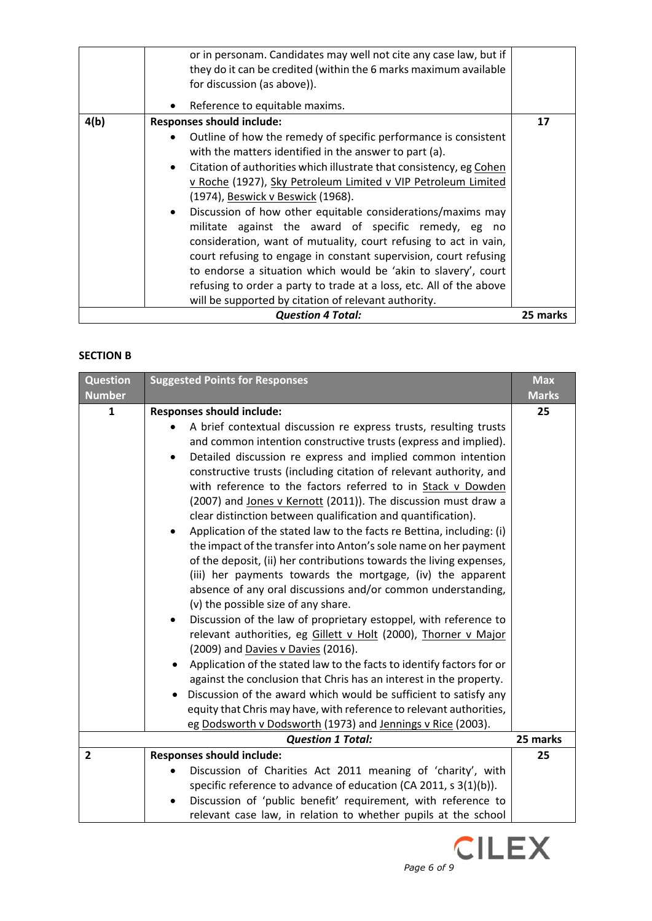|      | or in personam. Candidates may well not cite any case law, but if<br>they do it can be credited (within the 6 marks maximum available<br>for discussion (as above)).<br>Reference to equitable maxims.                                                                                                                                                                                                                                                                                                                                                                                                                                                                                                                                                                              |          |
|------|-------------------------------------------------------------------------------------------------------------------------------------------------------------------------------------------------------------------------------------------------------------------------------------------------------------------------------------------------------------------------------------------------------------------------------------------------------------------------------------------------------------------------------------------------------------------------------------------------------------------------------------------------------------------------------------------------------------------------------------------------------------------------------------|----------|
| 4(b) | <b>Responses should include:</b>                                                                                                                                                                                                                                                                                                                                                                                                                                                                                                                                                                                                                                                                                                                                                    | 17       |
|      | Outline of how the remedy of specific performance is consistent<br>with the matters identified in the answer to part (a).<br>Citation of authorities which illustrate that consistency, eg Cohen<br>$\bullet$<br>v Roche (1927), Sky Petroleum Limited v VIP Petroleum Limited<br>(1974), Beswick v Beswick (1968).<br>Discussion of how other equitable considerations/maxims may<br>militate against the award of specific remedy, eg no<br>consideration, want of mutuality, court refusing to act in vain,<br>court refusing to engage in constant supervision, court refusing<br>to endorse a situation which would be 'akin to slavery', court<br>refusing to order a party to trade at a loss, etc. All of the above<br>will be supported by citation of relevant authority. |          |
|      | <b>Question 4 Total:</b>                                                                                                                                                                                                                                                                                                                                                                                                                                                                                                                                                                                                                                                                                                                                                            | 25 marks |

### **SECTION B**

| <b>Question</b><br><b>Number</b> | <b>Suggested Points for Responses</b>                                                                                                                                                                                                                                                                                                                                                                                                                                                                                                                                                                                                                                                                                                                                                                                                                                                                                                                                                                                                                                                                                                                                                                                                                                                                                     | <b>Max</b><br><b>Marks</b> |
|----------------------------------|---------------------------------------------------------------------------------------------------------------------------------------------------------------------------------------------------------------------------------------------------------------------------------------------------------------------------------------------------------------------------------------------------------------------------------------------------------------------------------------------------------------------------------------------------------------------------------------------------------------------------------------------------------------------------------------------------------------------------------------------------------------------------------------------------------------------------------------------------------------------------------------------------------------------------------------------------------------------------------------------------------------------------------------------------------------------------------------------------------------------------------------------------------------------------------------------------------------------------------------------------------------------------------------------------------------------------|----------------------------|
|                                  |                                                                                                                                                                                                                                                                                                                                                                                                                                                                                                                                                                                                                                                                                                                                                                                                                                                                                                                                                                                                                                                                                                                                                                                                                                                                                                                           |                            |
| $\mathbf{1}$                     | <b>Responses should include:</b><br>A brief contextual discussion re express trusts, resulting trusts<br>and common intention constructive trusts (express and implied).<br>Detailed discussion re express and implied common intention<br>$\bullet$<br>constructive trusts (including citation of relevant authority, and<br>with reference to the factors referred to in Stack v Dowden<br>(2007) and Jones v Kernott (2011)). The discussion must draw a<br>clear distinction between qualification and quantification).<br>Application of the stated law to the facts re Bettina, including: (i)<br>the impact of the transfer into Anton's sole name on her payment<br>of the deposit, (ii) her contributions towards the living expenses,<br>(iii) her payments towards the mortgage, (iv) the apparent<br>absence of any oral discussions and/or common understanding,<br>(v) the possible size of any share.<br>Discussion of the law of proprietary estoppel, with reference to<br>٠<br>relevant authorities, eg Gillett v Holt (2000), Thorner v Major<br>(2009) and Davies v Davies (2016).<br>Application of the stated law to the facts to identify factors for or<br>against the conclusion that Chris has an interest in the property.<br>Discussion of the award which would be sufficient to satisfy any | 25                         |
|                                  | equity that Chris may have, with reference to relevant authorities,                                                                                                                                                                                                                                                                                                                                                                                                                                                                                                                                                                                                                                                                                                                                                                                                                                                                                                                                                                                                                                                                                                                                                                                                                                                       |                            |
|                                  | eg Dodsworth v Dodsworth (1973) and Jennings v Rice (2003).                                                                                                                                                                                                                                                                                                                                                                                                                                                                                                                                                                                                                                                                                                                                                                                                                                                                                                                                                                                                                                                                                                                                                                                                                                                               |                            |
|                                  | <b>Question 1 Total:</b>                                                                                                                                                                                                                                                                                                                                                                                                                                                                                                                                                                                                                                                                                                                                                                                                                                                                                                                                                                                                                                                                                                                                                                                                                                                                                                  | 25 marks                   |
| $\overline{2}$                   | <b>Responses should include:</b>                                                                                                                                                                                                                                                                                                                                                                                                                                                                                                                                                                                                                                                                                                                                                                                                                                                                                                                                                                                                                                                                                                                                                                                                                                                                                          | 25                         |
|                                  | Discussion of Charities Act 2011 meaning of 'charity', with                                                                                                                                                                                                                                                                                                                                                                                                                                                                                                                                                                                                                                                                                                                                                                                                                                                                                                                                                                                                                                                                                                                                                                                                                                                               |                            |
|                                  | specific reference to advance of education (CA 2011, s 3(1)(b)).                                                                                                                                                                                                                                                                                                                                                                                                                                                                                                                                                                                                                                                                                                                                                                                                                                                                                                                                                                                                                                                                                                                                                                                                                                                          |                            |
|                                  | Discussion of 'public benefit' requirement, with reference to<br>٠<br>relevant case law, in relation to whether pupils at the school                                                                                                                                                                                                                                                                                                                                                                                                                                                                                                                                                                                                                                                                                                                                                                                                                                                                                                                                                                                                                                                                                                                                                                                      |                            |

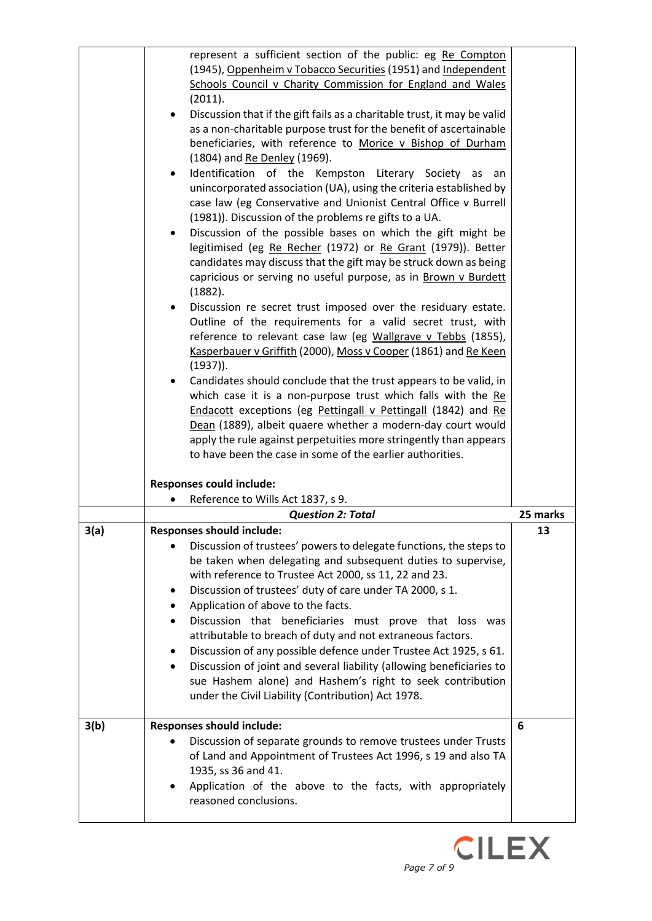|      | represent a sufficient section of the public: eg Re Compton<br>(1945), Oppenheim v Tobacco Securities (1951) and Independent                  |          |
|------|-----------------------------------------------------------------------------------------------------------------------------------------------|----------|
|      | Schools Council v Charity Commission for England and Wales<br>(2011).                                                                         |          |
|      | Discussion that if the gift fails as a charitable trust, it may be valid                                                                      |          |
|      | as a non-charitable purpose trust for the benefit of ascertainable                                                                            |          |
|      | beneficiaries, with reference to Morice v Bishop of Durham<br>(1804) and Re Denley (1969).                                                    |          |
|      | Identification of the Kempston Literary Society<br>as<br>an<br>$\bullet$                                                                      |          |
|      | unincorporated association (UA), using the criteria established by                                                                            |          |
|      | case law (eg Conservative and Unionist Central Office v Burrell                                                                               |          |
|      | (1981)). Discussion of the problems re gifts to a UA.<br>Discussion of the possible bases on which the gift might be                          |          |
|      | legitimised (eg Re Recher (1972) or Re Grant (1979)). Better                                                                                  |          |
|      | candidates may discuss that the gift may be struck down as being                                                                              |          |
|      | capricious or serving no useful purpose, as in Brown v Burdett                                                                                |          |
|      | (1882).                                                                                                                                       |          |
|      | Discussion re secret trust imposed over the residuary estate.<br>Outline of the requirements for a valid secret trust, with                   |          |
|      | reference to relevant case law (eg Wallgrave v Tebbs (1855),                                                                                  |          |
|      | Kasperbauer v Griffith (2000), Moss v Cooper (1861) and Re Keen                                                                               |          |
|      | $(1937)$ ).                                                                                                                                   |          |
|      | Candidates should conclude that the trust appears to be valid, in                                                                             |          |
|      | which case it is a non-purpose trust which falls with the Re<br><b>Endacott</b> exceptions (eg Pettingall v Pettingall (1842) and Re          |          |
|      | Dean (1889), albeit quaere whether a modern-day court would                                                                                   |          |
|      | apply the rule against perpetuities more stringently than appears                                                                             |          |
|      | to have been the case in some of the earlier authorities.                                                                                     |          |
|      | <b>Responses could include:</b>                                                                                                               |          |
|      | Reference to Wills Act 1837, s 9.                                                                                                             |          |
|      | <b>Question 2: Total</b>                                                                                                                      | 25 marks |
| 3(a) | <b>Responses should include:</b>                                                                                                              | 13       |
|      | Discussion of trustees' powers to delegate functions, the steps to<br>be taken when delegating and subsequent duties to supervise,            |          |
|      | with reference to Trustee Act 2000, ss 11, 22 and 23.                                                                                         |          |
|      | Discussion of trustees' duty of care under TA 2000, s 1.<br>٠                                                                                 |          |
|      | Application of above to the facts.                                                                                                            |          |
|      | Discussion that beneficiaries must prove that loss was                                                                                        |          |
|      | attributable to breach of duty and not extraneous factors.                                                                                    |          |
|      | Discussion of any possible defence under Trustee Act 1925, s 61.<br>٠<br>Discussion of joint and several liability (allowing beneficiaries to |          |
|      | sue Hashem alone) and Hashem's right to seek contribution                                                                                     |          |
|      | under the Civil Liability (Contribution) Act 1978.                                                                                            |          |
| 3(b) | <b>Responses should include:</b>                                                                                                              | 6        |
|      | Discussion of separate grounds to remove trustees under Trusts                                                                                |          |
|      | of Land and Appointment of Trustees Act 1996, s 19 and also TA                                                                                |          |
|      | 1935, ss 36 and 41.                                                                                                                           |          |
|      | Application of the above to the facts, with appropriately                                                                                     |          |
|      | reasoned conclusions.                                                                                                                         |          |

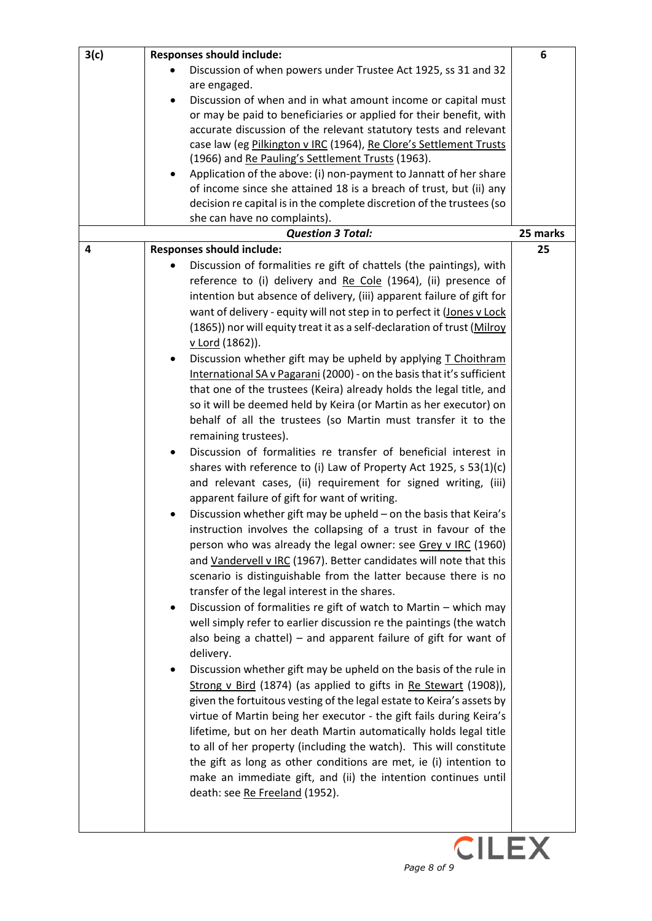| 3(c) | <b>Responses should include:</b>                                        | 6        |
|------|-------------------------------------------------------------------------|----------|
|      | Discussion of when powers under Trustee Act 1925, ss 31 and 32          |          |
|      | are engaged.                                                            |          |
|      | Discussion of when and in what amount income or capital must            |          |
|      | or may be paid to beneficiaries or applied for their benefit, with      |          |
|      | accurate discussion of the relevant statutory tests and relevant        |          |
|      | case law (eg Pilkington v IRC (1964), Re Clore's Settlement Trusts      |          |
|      | (1966) and Re Pauling's Settlement Trusts (1963).                       |          |
|      | Application of the above: (i) non-payment to Jannatt of her share       |          |
|      |                                                                         |          |
|      | of income since she attained 18 is a breach of trust, but (ii) any      |          |
|      | decision re capital is in the complete discretion of the trustees (so   |          |
|      | she can have no complaints).                                            |          |
|      | <b>Question 3 Total:</b>                                                | 25 marks |
| 4    | <b>Responses should include:</b>                                        | 25       |
|      | Discussion of formalities re gift of chattels (the paintings), with     |          |
|      | reference to (i) delivery and Re Cole (1964), (ii) presence of          |          |
|      | intention but absence of delivery, (iii) apparent failure of gift for   |          |
|      | want of delivery - equity will not step in to perfect it (Jones v Lock  |          |
|      | (1865)) nor will equity treat it as a self-declaration of trust (Milroy |          |
|      | <u>v Lord</u> (1862)).                                                  |          |
|      | Discussion whether gift may be upheld by applying T Choithram<br>٠      |          |
|      | International SA v Pagarani (2000) - on the basis that it's sufficient  |          |
|      | that one of the trustees (Keira) already holds the legal title, and     |          |
|      | so it will be deemed held by Keira (or Martin as her executor) on       |          |
|      | behalf of all the trustees (so Martin must transfer it to the           |          |
|      | remaining trustees).                                                    |          |
|      | Discussion of formalities re transfer of beneficial interest in         |          |
|      |                                                                         |          |
|      | shares with reference to (i) Law of Property Act 1925, s $53(1)(c)$     |          |
|      | and relevant cases, (ii) requirement for signed writing, (iii)          |          |
|      | apparent failure of gift for want of writing.                           |          |
|      | Discussion whether gift may be upheld - on the basis that Keira's       |          |
|      | instruction involves the collapsing of a trust in favour of the         |          |
|      | person who was already the legal owner: see Grey v IRC (1960)           |          |
|      | and Vandervell v IRC (1967). Better candidates will note that this      |          |
|      | scenario is distinguishable from the latter because there is no         |          |
|      | transfer of the legal interest in the shares.                           |          |
|      | Discussion of formalities re gift of watch to Martin - which may        |          |
|      | well simply refer to earlier discussion re the paintings (the watch     |          |
|      | also being a chattel) $-$ and apparent failure of gift for want of      |          |
|      | delivery.                                                               |          |
|      | Discussion whether gift may be upheld on the basis of the rule in       |          |
|      | Strong v Bird (1874) (as applied to gifts in Re Stewart (1908)),        |          |
|      | given the fortuitous vesting of the legal estate to Keira's assets by   |          |
|      | virtue of Martin being her executor - the gift fails during Keira's     |          |
|      | lifetime, but on her death Martin automatically holds legal title       |          |
|      |                                                                         |          |
|      | to all of her property (including the watch). This will constitute      |          |
|      | the gift as long as other conditions are met, ie (i) intention to       |          |
|      | make an immediate gift, and (ii) the intention continues until          |          |
|      | death: see Re Freeland (1952).                                          |          |
|      |                                                                         |          |
|      |                                                                         |          |
|      | <b>CILEX</b>                                                            |          |
|      |                                                                         |          |
|      | Page 8 of 9                                                             |          |